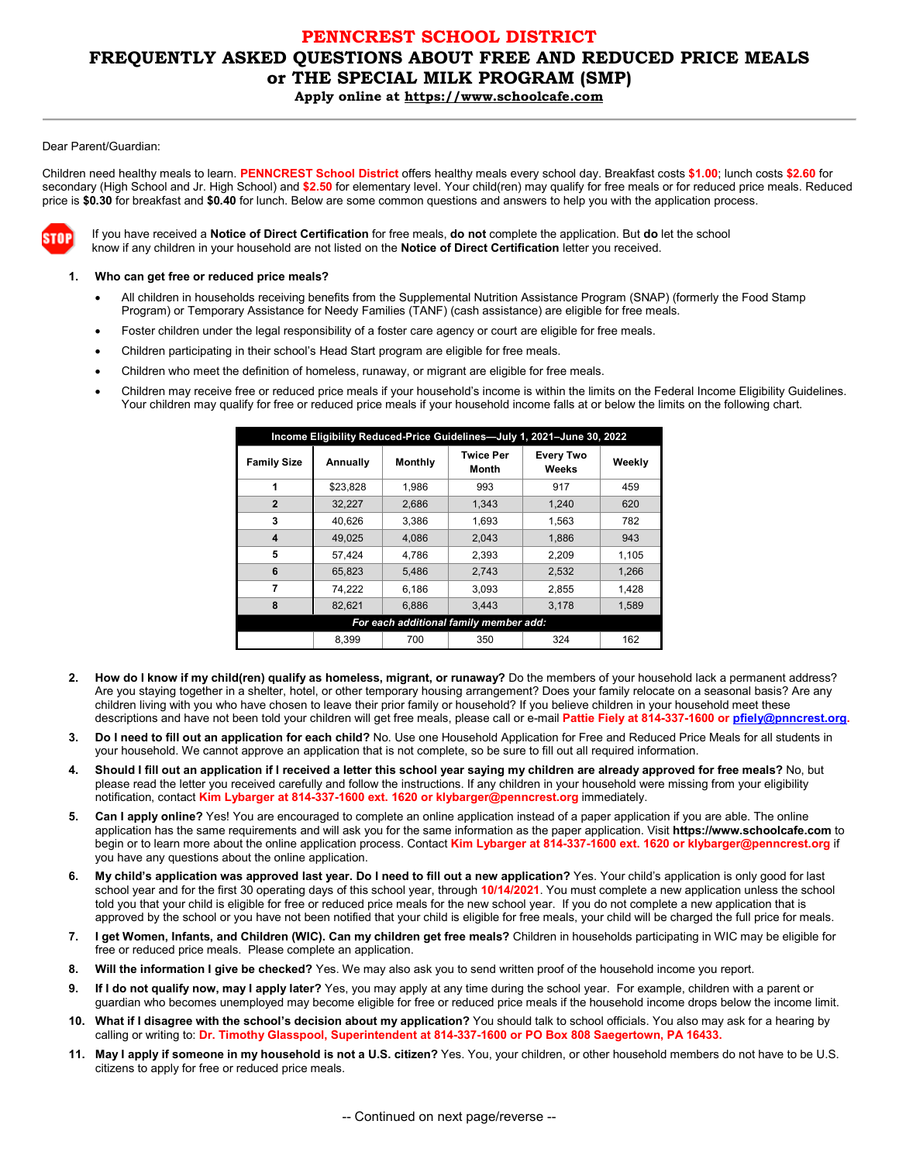# **PENNCREST SCHOOL DISTRICT FREQUENTLY ASKED QUESTIONS ABOUT FREE AND REDUCED PRICE MEALS or THE SPECIAL MILK PROGRAM (SMP) Apply online at https://www.schoolcafe.com**

#### Dear Parent/Guardian:

Children need healthy meals to learn. **PENNCREST School District** offers healthy meals every school day. Breakfast costs **\$1.00**; lunch costs **\$2.60** for secondary (High School and Jr. High School) and **\$2.50** for elementary level. Your child(ren) may qualify for free meals or for reduced price meals. Reduced price is **\$0.30** for breakfast and **\$0.40** for lunch. Below are some common questions and answers to help you with the application process.



If you have received a **Notice of Direct Certification** for free meals, **do not** complete the application. But **do** let the school know if any children in your household are not listed on the **Notice of Direct Certification** letter you received.

#### **1. Who can get free or reduced price meals?**

- All children in households receiving benefits from the Supplemental Nutrition Assistance Program (SNAP) (formerly the Food Stamp Program) or Temporary Assistance for Needy Families (TANF) (cash assistance) are eligible for free meals.
- Foster children under the legal responsibility of a foster care agency or court are eligible for free meals.
- Children participating in their school's Head Start program are eligible for free meals.
- Children who meet the definition of homeless, runaway, or migrant are eligible for free meals.
- Children may receive free or reduced price meals if your household's income is within the limits on the Federal Income Eligibility Guidelines. Your children may qualify for free or reduced price meals if your household income falls at or below the limits on the following chart.

|                     | Income Eligibility Reduced-Price Guidelines-July 1, 2021-June 30, 2022<br><b>Twice Per</b><br><b>Every Two</b><br><b>Monthly</b><br>Weekly<br>Annually<br>Month<br>Weeks<br>\$23,828<br>1.986<br>917<br>459<br>993 |       |                                                             |       |       |  |  |  |  |
|---------------------|--------------------------------------------------------------------------------------------------------------------------------------------------------------------------------------------------------------------|-------|-------------------------------------------------------------|-------|-------|--|--|--|--|
| <b>Family Size</b>  |                                                                                                                                                                                                                    |       |                                                             |       |       |  |  |  |  |
| 1                   |                                                                                                                                                                                                                    |       |                                                             |       |       |  |  |  |  |
| $\overline{2}$      | 32,227                                                                                                                                                                                                             | 2,686 | 1,343                                                       | 1.240 | 620   |  |  |  |  |
| 3                   | 40.626                                                                                                                                                                                                             | 3.386 | 1.693                                                       | 1.563 | 782   |  |  |  |  |
| $\overline{\bf{4}}$ | 49.025                                                                                                                                                                                                             | 4.086 | 2.043                                                       | 1.886 | 943   |  |  |  |  |
| 5                   | 57.424                                                                                                                                                                                                             | 4.786 | 2.393                                                       | 2,209 | 1,105 |  |  |  |  |
| 6                   | 65,823                                                                                                                                                                                                             | 5,486 | 2,743                                                       | 2,532 | 1,266 |  |  |  |  |
| 7                   | 74.222                                                                                                                                                                                                             | 6.186 | 3.093                                                       | 2.855 | 1.428 |  |  |  |  |
| 8                   | 82,621                                                                                                                                                                                                             | 6.886 | 3,443                                                       | 3,178 | 1,589 |  |  |  |  |
|                     |                                                                                                                                                                                                                    |       | For each additional family member add:<br>324<br>162<br>350 |       |       |  |  |  |  |
|                     | 8,399<br>700                                                                                                                                                                                                       |       |                                                             |       |       |  |  |  |  |

- **2. How do I know if my child(ren) qualify as homeless, migrant, or runaway?** Do the members of your household lack a permanent address? Are you staying together in a shelter, hotel, or other temporary housing arrangement? Does your family relocate on a seasonal basis? Are any children living with you who have chosen to leave their prior family or household? If you believe children in your household meet these descriptions and have not been told your children will get free meals, please call or e-mail **Pattie Fiely at 814-337-1600 o[r pfiely@pnncrest.org.](mailto:pfiely@pnncrest.org)**
- **3. Do I need to fill out an application for each child?** No. Use one Household Application for Free and Reduced Price Meals for all students in your household. We cannot approve an application that is not complete, so be sure to fill out all required information.
- **4. Should I fill out an application if I received a letter this school year saying my children are already approved for free meals?** No, but please read the letter you received carefully and follow the instructions. If any children in your household were missing from your eligibility notification, contact **Kim Lybarger at 814-337-1600 ext. 1620 or klybarger@penncrest.org** immediately.
- **5. Can I apply online?** Yes! You are encouraged to complete an online application instead of a paper application if you are able. The online application has the same requirements and will ask you for the same information as the paper application. Visit **https://www.schoolcafe.com** to begin or to learn more about the online application process. Contact **Kim Lybarger at 814-337-1600 ext. 1620 or klybarger@penncrest.org** if you have any questions about the online application.
- **6. My child's application was approved last year. Do I need to fill out a new application?** Yes. Your child's application is only good for last school year and for the first 30 operating days of this school year, through **10/14/2021**. You must complete a new application unless the school told you that your child is eligible for free or reduced price meals for the new school year. If you do not complete a new application that is approved by the school or you have not been notified that your child is eligible for free meals, your child will be charged the full price for meals.
- **7. I get Women, Infants, and Children (WIC). Can my children get free meals?** Children in households participating in WIC may be eligible for free or reduced price meals. Please complete an application.
- **8. Will the information I give be checked?** Yes. We may also ask you to send written proof of the household income you report.
- **9. If I do not qualify now, may I apply later?** Yes, you may apply at any time during the school year. For example, children with a parent or guardian who becomes unemployed may become eligible for free or reduced price meals if the household income drops below the income limit.
- **10. What if I disagree with the school's decision about my application?** You should talk to school officials. You also may ask for a hearing by calling or writing to: **Dr. Timothy Glasspool, Superintendent at 814-337-1600 or PO Box 808 Saegertown, PA 16433.**
- **11. May I apply if someone in my household is not a U.S. citizen?** Yes. You, your children, or other household members do not have to be U.S. citizens to apply for free or reduced price meals.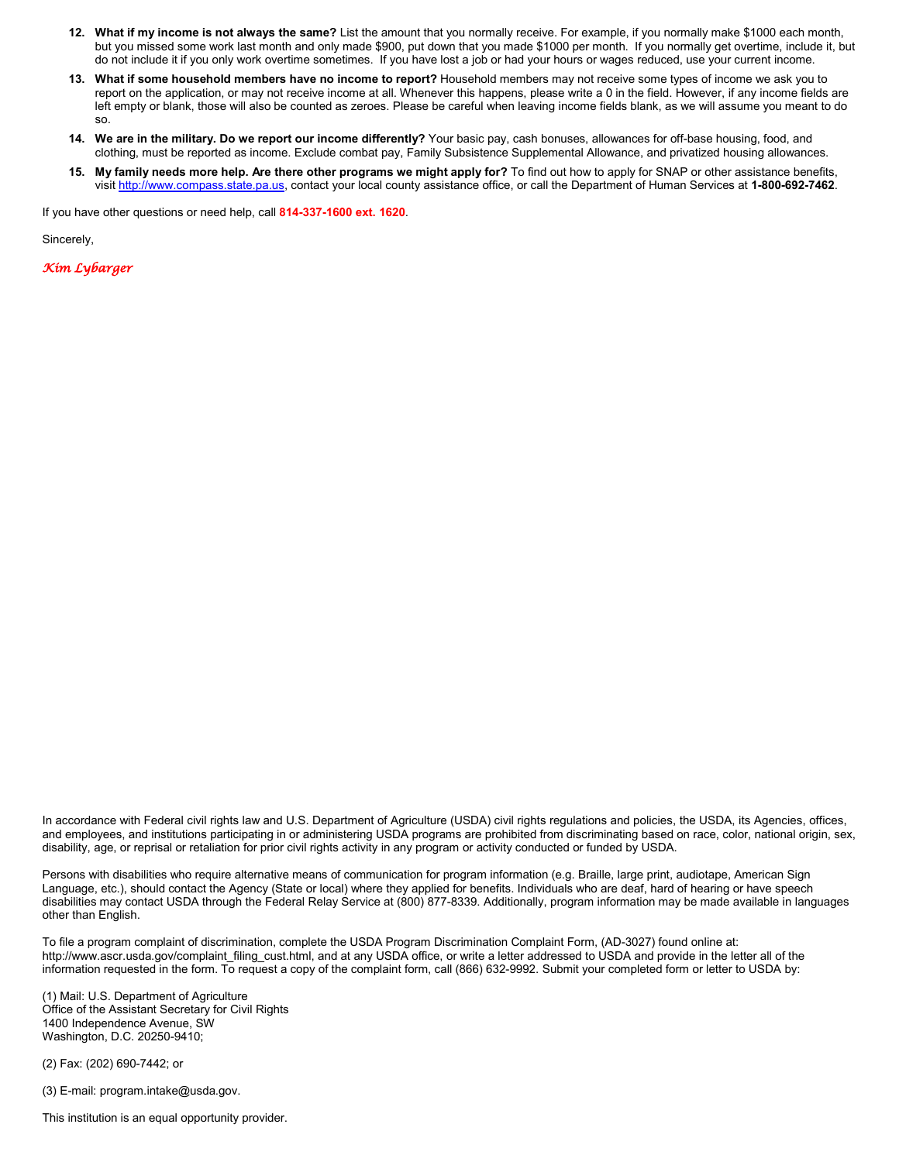- **12. What if my income is not always the same?** List the amount that you normally receive. For example, if you normally make \$1000 each month, but you missed some work last month and only made \$900, put down that you made \$1000 per month. If you normally get overtime, include it, but do not include it if you only work overtime sometimes. If you have lost a job or had your hours or wages reduced, use your current income.
- **13. What if some household members have no income to report?** Household members may not receive some types of income we ask you to report on the application, or may not receive income at all. Whenever this happens, please write a 0 in the field. However, if any income fields are left empty or blank, those will also be counted as zeroes. Please be careful when leaving income fields blank, as we will assume you meant to do so.
- **14. We are in the military. Do we report our income differently?** Your basic pay, cash bonuses, allowances for off-base housing, food, and clothing, must be reported as income. Exclude combat pay, Family Subsistence Supplemental Allowance, and privatized housing allowances.
- **15. My family needs more help. Are there other programs we might apply for?** To find out how to apply for SNAP or other assistance benefits, visit [http://www.compass.state.pa.us,](http://www.compass.state.pa.us/) contact your local county assistance office, or call the Department of Human Services at **1-800-692-7462**.

If you have other questions or need help, call **814-337-1600 ext. 1620**.

Sincerely,

*Kim Lybarger* 

In accordance with Federal civil rights law and U.S. Department of Agriculture (USDA) civil rights regulations and policies, the USDA, its Agencies, offices, and employees, and institutions participating in or administering USDA programs are prohibited from discriminating based on race, color, national origin, sex, disability, age, or reprisal or retaliation for prior civil rights activity in any program or activity conducted or funded by USDA.

Persons with disabilities who require alternative means of communication for program information (e.g. Braille, large print, audiotape, American Sign Language, etc.), should contact the Agency (State or local) where they applied for benefits. Individuals who are deaf, hard of hearing or have speech disabilities may contact USDA through the Federal Relay Service at (800) 877-8339. Additionally, program information may be made available in languages other than English.

To file a program complaint of discrimination, complete the USDA Program Discrimination Complaint Form, (AD-3027) found online at: http://www.ascr.usda.gov/complaint filing cust.html, and at any USDA office, or write a letter addressed to USDA and provide in the letter all of the information requested in the form. To request a copy of the complaint form, call (866) 632-9992. Submit your completed form or letter to USDA by:

(1) Mail: U.S. Department of Agriculture Office of the Assistant Secretary for Civil Rights 1400 Independence Avenue, SW Washington, D.C. 20250-9410;

(2) Fax: (202) 690-7442; or

(3) E-mail: program.intake@usda.gov.

This institution is an equal opportunity provider.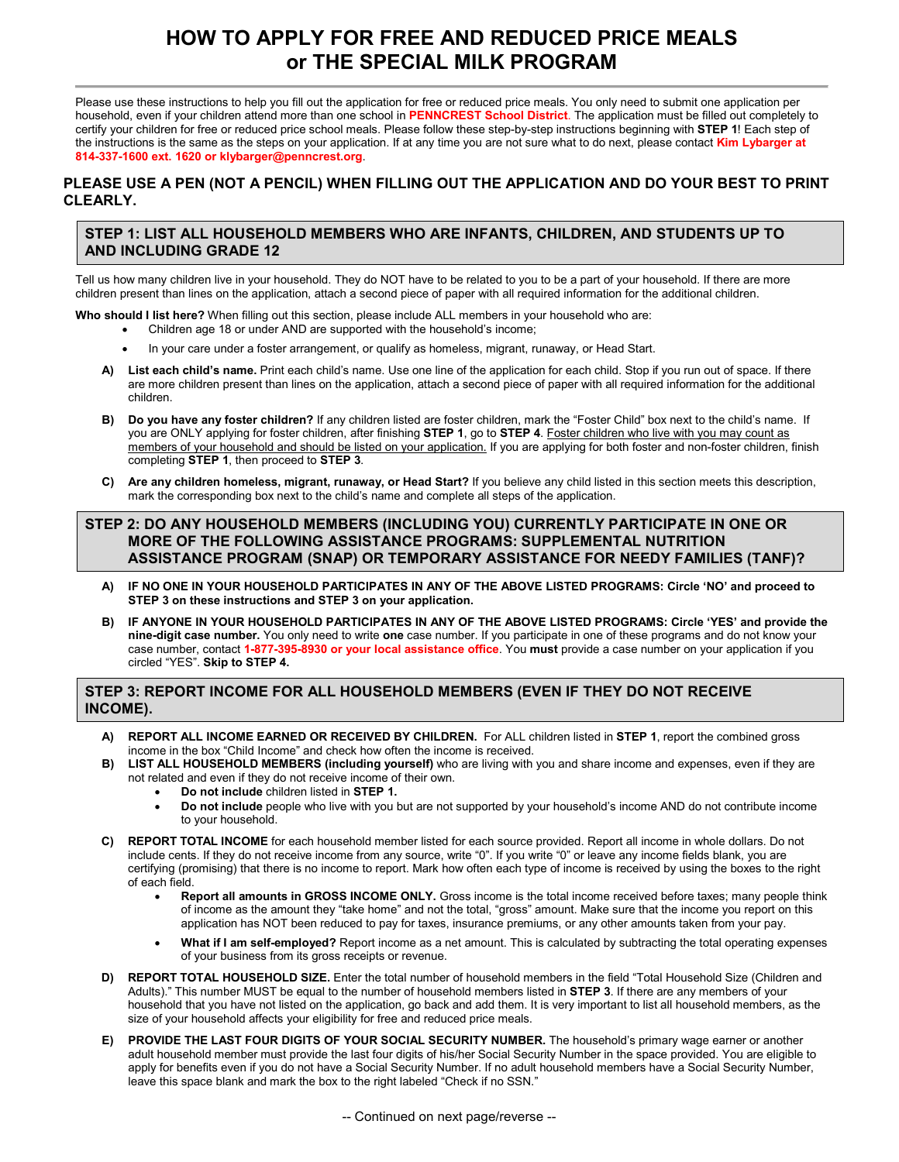# **HOW TO APPLY FOR FREE AND REDUCED PRICE MEALS or THE SPECIAL MILK PROGRAM**

Please use these instructions to help you fill out the application for free or reduced price meals. You only need to submit one application per household, even if your children attend more than one school in **PENNCREST School District**. The application must be filled out completely to certify your children for free or reduced price school meals. Please follow these step-by-step instructions beginning with **STEP 1**! Each step of the instructions is the same as the steps on your application. If at any time you are not sure what to do next, please contact **Kim Lybarger at 814-337-1600 ext. 1620 or klybarger@penncrest.org**.

#### **PLEASE USE A PEN (NOT A PENCIL) WHEN FILLING OUT THE APPLICATION AND DO YOUR BEST TO PRINT CLEARLY.**

## **STEP 1: LIST ALL HOUSEHOLD MEMBERS WHO ARE INFANTS, CHILDREN, AND STUDENTS UP TO AND INCLUDING GRADE 12**

Tell us how many children live in your household. They do NOT have to be related to you to be a part of your household. If there are more children present than lines on the application, attach a second piece of paper with all required information for the additional children.

**Who should I list here?** When filling out this section, please include ALL members in your household who are:

- Children age 18 or under AND are supported with the household's income;
- In your care under a foster arrangement, or qualify as homeless, migrant, runaway, or Head Start.
- **A) List each child's name.** Print each child's name. Use one line of the application for each child. Stop if you run out of space. If there are more children present than lines on the application, attach a second piece of paper with all required information for the additional children.
- **B) Do you have any foster children?** If any children listed are foster children, mark the "Foster Child" box next to the child's name. If you are ONLY applying for foster children, after finishing **STEP 1**, go to **STEP 4**. Foster children who live with you may count as members of your household and should be listed on your application. If you are applying for both foster and non-foster children, finish completing **STEP 1**, then proceed to **STEP 3**.
- **C) Are any children homeless, migrant, runaway, or Head Start?** If you believe any child listed in this section meets this description, mark the corresponding box next to the child's name and complete all steps of the application.

## **STEP 2: DO ANY HOUSEHOLD MEMBERS (INCLUDING YOU) CURRENTLY PARTICIPATE IN ONE OR MORE OF THE FOLLOWING ASSISTANCE PROGRAMS: SUPPLEMENTAL NUTRITION ASSISTANCE PROGRAM (SNAP) OR TEMPORARY ASSISTANCE FOR NEEDY FAMILIES (TANF)?**

- **A) IF NO ONE IN YOUR HOUSEHOLD PARTICIPATES IN ANY OF THE ABOVE LISTED PROGRAMS: Circle 'NO' and proceed to STEP 3 on these instructions and STEP 3 on your application.**
- **B) IF ANYONE IN YOUR HOUSEHOLD PARTICIPATES IN ANY OF THE ABOVE LISTED PROGRAMS: Circle 'YES' and provide the nine-digit case number.** You only need to write **one** case number. If you participate in one of these programs and do not know your case number, contact **1-877-395-8930 or your local assistance office**. You **must** provide a case number on your application if you circled "YES". **Skip to STEP 4.**

## **STEP 3: REPORT INCOME FOR ALL HOUSEHOLD MEMBERS (EVEN IF THEY DO NOT RECEIVE INCOME).**

- **A) REPORT ALL INCOME EARNED OR RECEIVED BY CHILDREN.** For ALL children listed in **STEP 1**, report the combined gross income in the box "Child Income" and check how often the income is received.
- **B) LIST ALL HOUSEHOLD MEMBERS (including yourself)** who are living with you and share income and expenses, even if they are not related and even if they do not receive income of their own.
	- **Do not include** children listed in **STEP 1.**
	- **Do not include** people who live with you but are not supported by your household's income AND do not contribute income to your household.
- **C) REPORT TOTAL INCOME** for each household member listed for each source provided. Report all income in whole dollars. Do not include cents. If they do not receive income from any source, write "0". If you write "0" or leave any income fields blank, you are certifying (promising) that there is no income to report. Mark how often each type of income is received by using the boxes to the right of each field.
	- **Report all amounts in GROSS INCOME ONLY.** Gross income is the total income received before taxes; many people think of income as the amount they "take home" and not the total, "gross" amount. Make sure that the income you report on this application has NOT been reduced to pay for taxes, insurance premiums, or any other amounts taken from your pay.
	- **What if I am self-employed?** Report income as a net amount. This is calculated by subtracting the total operating expenses of your business from its gross receipts or revenue.
- **D) REPORT TOTAL HOUSEHOLD SIZE.** Enter the total number of household members in the field "Total Household Size (Children and Adults)." This number MUST be equal to the number of household members listed in **STEP 3**. If there are any members of your household that you have not listed on the application, go back and add them. It is very important to list all household members, as the size of your household affects your eligibility for free and reduced price meals.
- **E) PROVIDE THE LAST FOUR DIGITS OF YOUR SOCIAL SECURITY NUMBER.** The household's primary wage earner or another adult household member must provide the last four digits of his/her Social Security Number in the space provided. You are eligible to apply for benefits even if you do not have a Social Security Number. If no adult household members have a Social Security Number, leave this space blank and mark the box to the right labeled "Check if no SSN."

-- Continued on next page/reverse --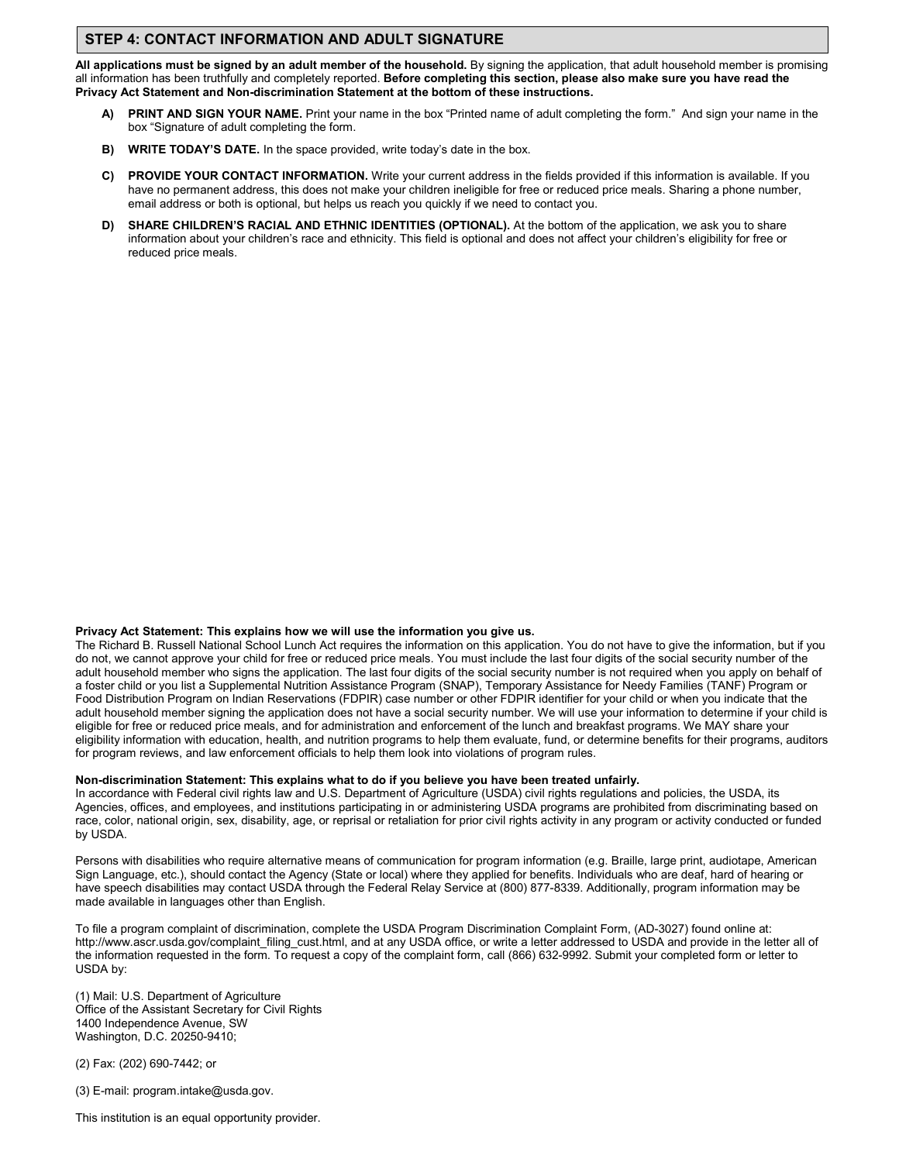## **STEP 4: CONTACT INFORMATION AND ADULT SIGNATURE**

**All applications must be signed by an adult member of the household.** By signing the application, that adult household member is promising all information has been truthfully and completely reported. **Before completing this section, please also make sure you have read the Privacy Act Statement and Non-discrimination Statement at the bottom of these instructions.**

- **A) PRINT AND SIGN YOUR NAME.** Print your name in the box "Printed name of adult completing the form." And sign your name in the box "Signature of adult completing the form.
- **B) WRITE TODAY'S DATE.** In the space provided, write today's date in the box.
- **C) PROVIDE YOUR CONTACT INFORMATION.** Write your current address in the fields provided if this information is available. If you have no permanent address, this does not make your children ineligible for free or reduced price meals. Sharing a phone number, email address or both is optional, but helps us reach you quickly if we need to contact you.
- **D) SHARE CHILDREN'S RACIAL AND ETHNIC IDENTITIES (OPTIONAL).** At the bottom of the application, we ask you to share information about your children's race and ethnicity. This field is optional and does not affect your children's eligibility for free or reduced price meals.

#### **Privacy Act Statement: This explains how we will use the information you give us.**

The Richard B. Russell National School Lunch Act requires the information on this application. You do not have to give the information, but if you do not, we cannot approve your child for free or reduced price meals. You must include the last four digits of the social security number of the adult household member who signs the application. The last four digits of the social security number is not required when you apply on behalf of a foster child or you list a Supplemental Nutrition Assistance Program (SNAP), Temporary Assistance for Needy Families (TANF) Program or Food Distribution Program on Indian Reservations (FDPIR) case number or other FDPIR identifier for your child or when you indicate that the adult household member signing the application does not have a social security number. We will use your information to determine if your child is eligible for free or reduced price meals, and for administration and enforcement of the lunch and breakfast programs. We MAY share your eligibility information with education, health, and nutrition programs to help them evaluate, fund, or determine benefits for their programs, auditors for program reviews, and law enforcement officials to help them look into violations of program rules.

#### **Non-discrimination Statement: This explains what to do if you believe you have been treated unfairly.**

In accordance with Federal civil rights law and U.S. Department of Agriculture (USDA) civil rights regulations and policies, the USDA, its Agencies, offices, and employees, and institutions participating in or administering USDA programs are prohibited from discriminating based on race, color, national origin, sex, disability, age, or reprisal or retaliation for prior civil rights activity in any program or activity conducted or funded by USDA.

Persons with disabilities who require alternative means of communication for program information (e.g. Braille, large print, audiotape, American Sign Language, etc.), should contact the Agency (State or local) where they applied for benefits. Individuals who are deaf, hard of hearing or have speech disabilities may contact USDA through the Federal Relay Service at (800) 877-8339. Additionally, program information may be made available in languages other than English.

To file a program complaint of discrimination, complete the USDA Program Discrimination Complaint Form, (AD-3027) found online at: http://www.ascr.usda.gov/complaint\_filing\_cust.html, and at any USDA office, or write a letter addressed to USDA and provide in the letter all of the information requested in the form. To request a copy of the complaint form, call (866) 632-9992. Submit your completed form or letter to USDA by:

(1) Mail: U.S. Department of Agriculture Office of the Assistant Secretary for Civil Rights 1400 Independence Avenue, SW Washington, D.C. 20250-9410;

(2) Fax: (202) 690-7442; or

(3) E-mail: program.intake@usda.gov.

This institution is an equal opportunity provider.